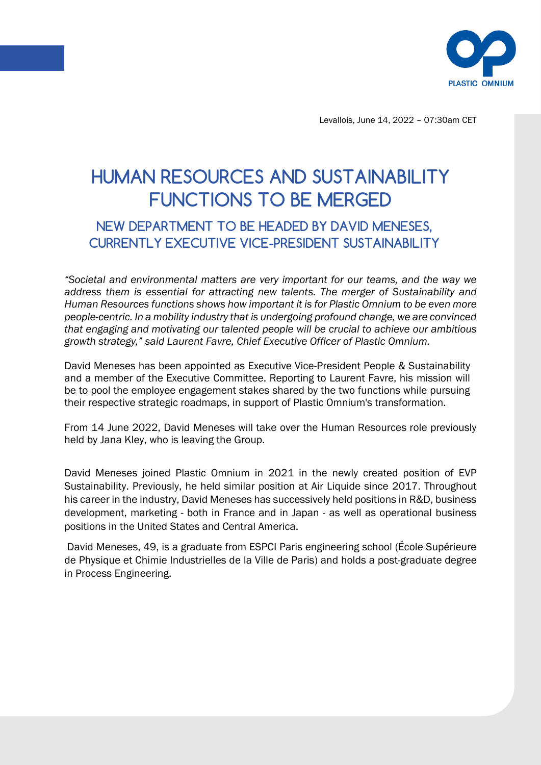

Levallois, June 14, 2022 – 07:30am CET

## HUMAN RESOURCES AND SUSTAINABILITY FUNCTIONS TO BE MERGED

## NEW DEPARTMENT TO BE HEADED BY DAVID MENESES, CURRENTLY EXECUTIVE VICE-PRESIDENT SUSTAINABILITY

*"Societal and environmental matters are very important for our teams, and the way we address them is essential for attracting new talents. The merger of Sustainability and Human Resources functions shows how important it is for Plastic Omnium to be even more people-centric. In a mobility industry that is undergoing profound change, we are convinced that engaging and motivating our talented people will be crucial to achieve our ambitious growth strategy," said Laurent Favre, Chief Executive Officer of Plastic Omnium.* 

David Meneses has been appointed as Executive Vice-President People & Sustainability and a member of the Executive Committee. Reporting to Laurent Favre, his mission will be to pool the employee engagement stakes shared by the two functions while pursuing their respective strategic roadmaps, in support of Plastic Omnium's transformation.

From 14 June 2022, David Meneses will take over the Human Resources role previously held by Jana Kley, who is leaving the Group.

David Meneses joined Plastic Omnium in 2021 in the newly created position of EVP Sustainability. Previously, he held similar position at Air Liquide since 2017. Throughout his career in the industry, David Meneses has successively held positions in R&D, business development, marketing - both in France and in Japan - as well as operational business positions in the United States and Central America.

David Meneses, 49, is a graduate from ESPCI Paris engineering school (École Supérieure de Physique et Chimie Industrielles de la Ville de Paris) and holds a post-graduate degree in Process Engineering.